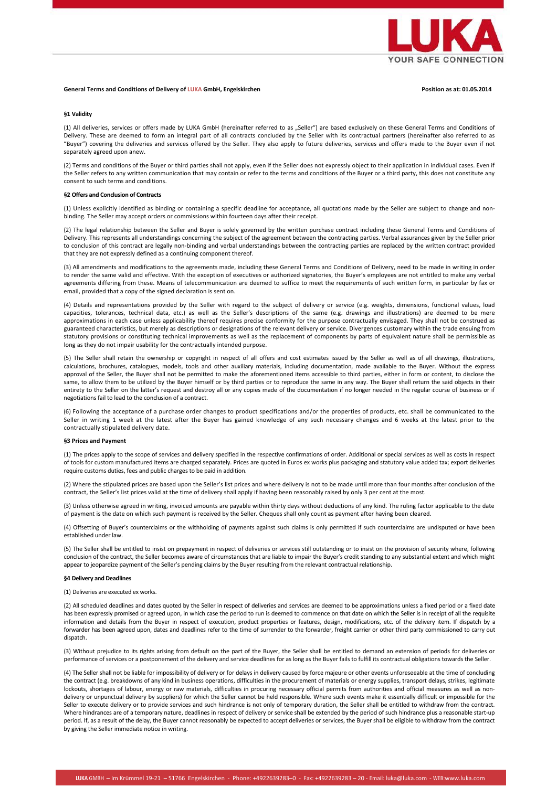

# **General Terms and Conditions of Delivery of LUKA GmbH, Engelskirchen Position as at: 01.05.2014**

## **§1 Validity**

(1) All deliveries, services or offers made by LUKA GmbH (hereinafter referred to as "Seller") are based exclusively on these General Terms and Conditions of Delivery. These are deemed to form an integral part of all contracts concluded by the Seller with its contractual partners (hereinafter also referred to as "Buyer") covering the deliveries and services offered by the Seller. They also apply to future deliveries, services and offers made to the Buyer even if not separately agreed upon anew.

(2) Terms and conditions of the Buyer or third parties shall not apply, even if the Seller does not expressly object to their application in individual cases. Even if the Seller refers to any written communication that may contain or refer to the terms and conditions of the Buyer or a third party, this does not constitute any consent to such terms and conditions.

### **§2 Offers and Conclusion of Contracts**

(1) Unless explicitly identified as binding or containing a specific deadline for acceptance, all quotations made by the Seller are subject to change and nonbinding. The Seller may accept orders or commissions within fourteen days after their receipt.

(2) The legal relationship between the Seller and Buyer is solely governed by the written purchase contract including these General Terms and Conditions of Delivery. This represents all understandings concerning the subject of the agreement between the contracting parties. Verbal assurances given by the Seller prior to conclusion of this contract are legally non‐binding and verbal understandings between the contracting parties are replaced by the written contract provided that they are not expressly defined as a continuing component thereof.

(3) All amendments and modifications to the agreements made, including these General Terms and Conditions of Delivery, need to be made in writing in order to render the same valid and effective. With the exception of executives or authorized signatories, the Buyer's employees are not entitled to make any verbal agreements differing from these. Means of telecommunication are deemed to suffice to meet the requirements of such written form, in particular by fax or email, provided that a copy of the signed declaration is sent on.

(4) Details and representations provided by the Seller with regard to the subject of delivery or service (e.g. weights, dimensions, functional values, load capacities, tolerances, technical data, etc.) as well as the Seller's descriptions of the same (e.g. drawings and illustrations) are deemed to be mere approximations in each case unless applicability thereof requires precise conformity for the purpose contractually envisaged. They shall not be construed as guaranteed characteristics, but merely as descriptions or designations of the relevant delivery or service. Divergences customary within the trade ensuing from statutory provisions or constituting technical improvements as well as the replacement of components by parts of equivalent nature shall be permissible as long as they do not impair usability for the contractually intended purpose.

(5) The Seller shall retain the ownership or copyright in respect of all offers and cost estimates issued by the Seller as well as of all drawings, illustrations, calculations, brochures, catalogues, models, tools and other auxiliary materials, including documentation, made available to the Buyer. Without the express approval of the Seller, the Buyer shall not be permitted to make the aforementioned items accessible to third parties, either in form or content, to disclose the same, to allow them to be utilized by the Buyer himself or by third parties or to reproduce the same in any way. The Buyer shall return the said objects in their entirety to the Seller on the latter's request and destroy all or any copies made of the documentation if no longer needed in the regular course of business or if negotiations fail to lead to the conclusion of a contract.

(6) Following the acceptance of a purchase order changes to product specifications and/or the properties of products, etc. shall be communicated to the Seller in writing 1 week at the latest after the Buyer has gained knowledge of any such necessary changes and 6 weeks at the latest prior to the contractually stipulated delivery date.

#### **§3 Prices and Payment**

(1) The prices apply to the scope of services and delivery specified in the respective confirmations of order. Additional or special services as well as costs in respect of tools for custom manufactured items are charged separately. Prices are quoted in Euros ex works plus packaging and statutory value added tax; export deliveries require customs duties, fees and public charges to be paid in addition.

(2) Where the stipulated prices are based upon the Seller's list prices and where delivery is not to be made until more than four months after conclusion of the contract, the Seller's list prices valid at the time of delivery shall apply if having been reasonably raised by only 3 per cent at the most.

(3) Unless otherwise agreed in writing, invoiced amounts are payable within thirty days without deductions of any kind. The ruling factor applicable to the date of payment is the date on which such payment is received by the Seller. Cheques shall only count as payment after having been cleared.

(4) Offsetting of Buyer's counterclaims or the withholding of payments against such claims is only permitted if such counterclaims are undisputed or have been established under law.

(5) The Seller shall be entitled to insist on prepayment in respect of deliveries or services still outstanding or to insist on the provision of security where, following conclusion of the contract, the Seller becomes aware of circumstances that are liable to impair the Buyer's credit standing to any substantial extent and which might appear to jeopardize payment of the Seller's pending claims by the Buyer resulting from the relevant contractual relationship.

## **§4 Delivery and Deadlines**

(1) Deliveries are executed ex works.

(2) All scheduled deadlines and dates quoted by the Seller in respect of deliveries and services are deemed to be approximations unless a fixed period or a fixed date has been expressly promised or agreed upon, in which case the period to run is deemed to commence on that date on which the Seller is in receipt of all the requisite information and details from the Buyer in respect of execution, product properties or features, design, modifications, etc. of the delivery item. If dispatch by a forwarder has been agreed upon, dates and deadlines refer to the time of surrender to the forwarder, freight carrier or other third party commissioned to carry out dispatch.

(3) Without prejudice to its rights arising from default on the part of the Buyer, the Seller shall be entitled to demand an extension of periods for deliveries or performance of services or a postponement of the delivery and service deadlines for as long as the Buyer fails to fulfill its contractual obligations towards the Seller.

(4) The Seller shall not be liable for impossibility of delivery or for delays in delivery caused by force majeure or other events unforeseeable at the time of concluding the contract (e.g. breakdowns of any kind in business operations, difficulties in the procurement of materials or energy supplies, transport delays, strikes, legitimate lockouts, shortages of labour, energy or raw materials, difficulties in procuring necessary official permits from authorities and official measures as well as nondelivery or unpunctual delivery by suppliers) for which the Seller cannot be held responsible. Where such events make it essentially difficult or impossible for the Seller to execute delivery or to provide services and such hindrance is not only of temporary duration, the Seller shall be entitled to withdraw from the contract. Where hindrances are of a temporary nature, deadlines in respect of delivery or service shall be extended by the period of such hindrance plus a reasonable start-up period. If, as a result of the delay, the Buyer cannot reasonably be expected to accept deliveries or services, the Buyer shall be eligible to withdraw from the contract by giving the Seller immediate notice in writing.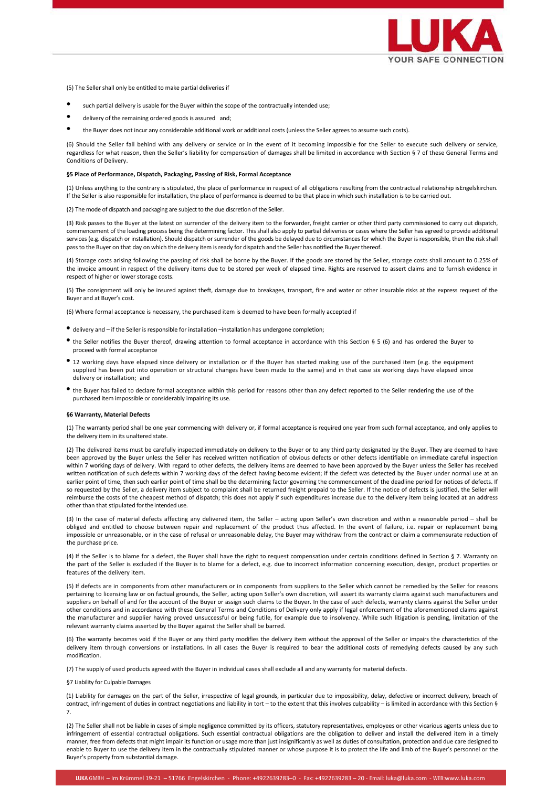

(5) The Seller shall only be entitled to make partial deliveries if

- such partial delivery is usable for the Buyer within the scope of the contractually intended use;
- delivery of the remaining ordered goods is assured and;
- the Buyer does not incur any considerable additional work or additional costs (unless the Seller agrees to assume such costs).

(6) Should the Seller fall behind with any delivery or service or in the event of it becoming impossible for the Seller to execute such delivery or service, regardless for what reason, then the Seller's liability for compensation of damages shall be limited in accordance with Section § 7 of these General Terms and Conditions of Delivery.

#### **§5 Place of Performance, Dispatch, Packaging, Passing of Risk, Formal Acceptance**

(1) Unless anything to the contrary is stipulated, the place of performance in respect of all obligations resulting from the contractual relationship isEngelskirchen. If the Seller is also responsible for installation, the place of performance is deemed to be that place in which such installation is to be carried out.

(2) The mode of dispatch and packaging are subject to the due discretion of the Seller.

(3) Risk passes to the Buyer at the latest on surrender of the delivery item to the forwarder, freight carrier or other third party commissioned to carry out dispatch, commencement of the loading process being the determining factor. This shall also apply to partial deliveries or cases where the Seller has agreed to provide additional services (e.g. dispatch or installation). Should dispatch or surrender of the goods be delayed due to circumstances for which the Buyer is responsible, then the risk shall pass to the Buyer on that day on which the delivery item is ready for dispatch and the Seller has notified the Buyer thereof.

(4) Storage costs arising following the passing of risk shall be borne by the Buyer. If the goods are stored by the Seller, storage costs shall amount to 0.25% of the invoice amount in respect of the delivery items due to be stored per week of elapsed time. Rights are reserved to assert claims and to furnish evidence in respect of higher or lower storage costs.

(5) The consignment will only be insured against theft, damage due to breakages, transport, fire and water or other insurable risks at the express request of the Buyer and at Buyer's cost.

(6) Where formal acceptance is necessary, the purchased item is deemed to have been formally accepted if

- delivery and if the Seller is responsible for installation –installation has undergone completion;
- the Seller notifies the Buyer thereof, drawing attention to formal acceptance in accordance with this Section § <sup>5</sup> (6) and has ordered the Buyer to proceed with formal acceptance
- <sup>12</sup> working days have elapsed since delivery or installation or if the Buyer has started making use of the purchased item (e.g. the equipment supplied has been put into operation or structural changes have been made to the same) and in that case six working days have elapsed since delivery or installation; and
- the Buyer has failed to declare formal acceptance within this period for reasons other than any defect reported to the Seller rendering the use of the purchased item impossible or considerably impairing its use.

#### **§6 Warranty, Material Defects**

(1) The warranty period shall be one year commencing with delivery or, if formal acceptance is required one year from such formal acceptance, and only applies to the delivery item in its unaltered state.

(2) The delivered items must be carefully inspected immediately on delivery to the Buyer or to any third party designated by the Buyer. They are deemed to have been approved by the Buyer unless the Seller has received written notification of obvious defects or other defects identifiable on immediate careful inspection within 7 working days of delivery. With regard to other defects, the delivery items are deemed to have been approved by the Buyer unless the Seller has received written notification of such defects within 7 working days of the defect having become evident; if the defect was detected by the Buyer under normal use at an earlier point of time, then such earlier point of time shall be the determining factor governing the commencement of the deadline period for notices of defects. If so requested by the Seller, a delivery item subject to complaint shall be returned freight prepaid to the Seller. If the notice of defects is justified, the Seller will reimburse the costs of the cheapest method of dispatch; this does not apply if such expenditures increase due to the delivery item being located at an address other than that stipulated forthe intended use.

(3) In the case of material defects affecting any delivered item, the Seller – acting upon Seller's own discretion and within a reasonable period – shall be obliged and entitled to choose between repair and replacement of the product thus affected. In the event of failure, i.e. repair or replacement being impossible or unreasonable, or in the case of refusal or unreasonable delay, the Buyer may withdraw from the contract or claim a commensurate reduction of the purchase price.

(4) If the Seller is to blame for a defect, the Buyer shall have the right to request compensation under certain conditions defined in Section § 7. Warranty on the part of the Seller is excluded if the Buyer is to blame for a defect, e.g. due to incorrect information concerning execution, design, product properties or features of the delivery item.

(5) If defects are in components from other manufacturers or in components from suppliers to the Seller which cannot be remedied by the Seller for reasons pertaining to licensing law or on factual grounds, the Seller, acting upon Seller's own discretion, will assert its warranty claims against such manufacturers and suppliers on behalf of and for the account of the Buyer or assign such claims to the Buyer. In the case of such defects, warranty claims against the Seller under other conditions and in accordance with these General Terms and Conditions of Delivery only apply if legal enforcement of the aforementioned claims against the manufacturer and supplier having proved unsuccessful or being futile, for example due to insolvency. While such litigation is pending, limitation of the relevant warranty claims asserted by the Buyer against the Seller shall be barred.

(6) The warranty becomes void if the Buyer or any third party modifies the delivery item without the approval of the Seller or impairs the characteristics of the delivery item through conversions or installations. In all cases the Buyer is required to bear the additional costs of remedying defects caused by any such modification.

(7) The supply of used products agreed with the Buyer in individual cases shall exclude all and any warranty for material defects.

## §7 Liability for Culpable Damages

(1) Liability for damages on the part of the Seller, irrespective of legal grounds, in particular due to impossibility, delay, defective or incorrect delivery, breach of contract, infringement of duties in contract negotiations and liability in tort – to the extent that this involves culpability – is limited in accordance with this Section § 7.

(2) The Seller shall not be liable in cases of simple negligence committed by its officers, statutory representatives, employees or other vicarious agents unless due to infringement of essential contractual obligations. Such essential contractual obligations are the obligation to deliver and install the delivered item in a timely manner, free from defects that might impair its function or usage more than just insignificantly as well as duties of consultation, protection and due care designed to enable to Buyer to use the delivery item in the contractually stipulated manner or whose purpose it is to protect the life and limb of the Buyer's personnel or the Buyer's property from substantial damage.